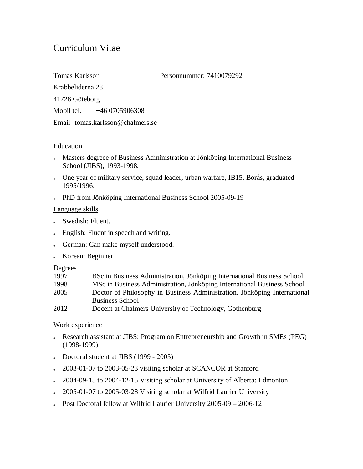# Curriculum Vitae

Tomas Karlsson Personnummer: 7410079292

Krabbeliderna 28

41728 Göteborg

Mobil tel. +46 0705906308

Email tomas.karlsson@chalmers.se

## **Education**

- <sup>o</sup> Masters degreee of Business Administration at Jönköping International Business School (JIBS), 1993-1998.
- o One year of military service, squad leader, urban warfare, IB15, Borås, graduated 1995/1996.
- o PhD from Jönköping International Business School 2005-09-19

# Language skills

- <sup>o</sup> Swedish: Fluent.
- <sup>o</sup> English: Fluent in speech and writing.
- <sup>o</sup> German: Can make myself understood.
- <sup>o</sup> Korean: Beginner

## **Degrees**

| 1997 | BSc in Business Administration, Jönköping International Business School  |
|------|--------------------------------------------------------------------------|
| 1998 | MSc in Business Administration, Jönköping International Business School  |
| 2005 | Doctor of Philosophy in Business Administration, Jönköping International |
|      | <b>Business School</b>                                                   |
| 2012 | Docent at Chalmers University of Technology, Gothenburg                  |

# Work experience

- <sup>o</sup> Research assistant at JIBS: Program on Entrepreneurship and Growth in SMEs (PEG) (1998-1999)
- Doctoral student at JIBS  $(1999 2005)$
- $2003-01-07$  to 2003-05-23 visiting scholar at SCANCOR at Stanford
- o 2004-09-15 to 2004-12-15 Visiting scholar at University of Alberta: Edmonton
- o 2005-01-07 to 2005-03-28 Visiting scholar at Wilfrid Laurier University
- o Post Doctoral fellow at Wilfrid Laurier University  $2005-09 2006-12$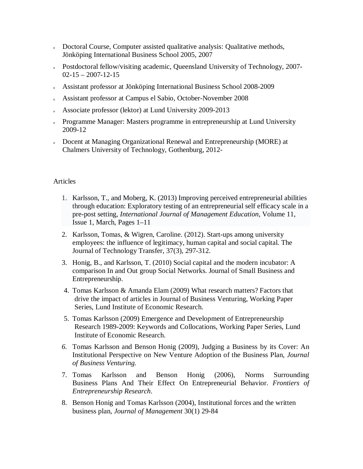- o Doctoral Course, Computer assisted qualitative analysis: Qualitative methods, Jönköping International Business School 2005, 2007
- o Postdoctoral fellow/visiting academic, Queensland University of Technology, 2007- $02-15 - 2007-12-15$
- <sup>o</sup> Assistant professor at Jönköping International Business School 2008-2009
- <sup>o</sup> Assistant professor at Campus el Sabio, October-November 2008
- Associate professor (lektor) at Lund University 2009-2013
- o Programme Manager: Masters programme in entrepreneurship at Lund University 2009-12
- o Docent at Managing Organizational Renewal and Entrepreneurship (MORE) at Chalmers University of Technology, Gothenburg, 2012-

## Articles

- 1. Karlsson, T., and Moberg, K. (2013) Improving perceived entrepreneurial abilities through education: Exploratory testing of an entrepreneurial self efficacy scale in a pre-post setting, *International Journal of Management Education*, Volume 11, Issue 1, March, Pages 1–11
- 2. Karlsson, Tomas, & Wigren, Caroline. (2012). Start-ups among university employees: the influence of legitimacy, human capital and social capital. The Journal of Technology Transfer, 37(3), 297-312.
- 3. Honig, B., and Karlsson, T. (2010) Social capital and the modern incubator: A comparison In and Out group Social Networks. Journal of Small Business and Entrepreneurship.
- 4. Tomas Karlsson & Amanda Elam (2009) What research matters? Factors that drive the impact of articles in Journal of Business Venturing, Working Paper Series, Lund Institute of Economic Research.
- 5. Tomas Karlsson (2009) Emergence and Development of Entrepreneurship Research 1989-2009: Keywords and Collocations, Working Paper Series, Lund Institute of Economic Research.
- *6.* Tomas Karlsson and Benson Honig (2009), Judging a Business by its Cover: An Institutional Perspective on New Venture Adoption of the Business Plan, *Journal of Business Venturing.*
- 7. Tomas Karlsson and Benson Honig (2006), Norms Surrounding Business Plans And Their Effect On Entrepreneurial Behavior. *Frontiers of Entrepreneurship Research*.
- 8. Benson Honig and Tomas Karlsson (2004), Institutional forces and the written business plan*, Journal of Management* 30(1) 29-84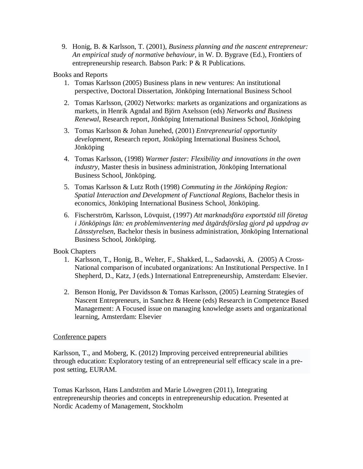9. Honig, B. & Karlsson, T. (2001), *Business planning and the nascent entrepreneur: An empirical study of normative behaviour*, in W. D. Bygrave (Ed.), Frontiers of entrepreneurship research. Babson Park: P & R Publications.

## Books and Reports

- 1. Tomas Karlsson (2005) Business plans in new ventures: An institutional perspective, Doctoral Dissertation, Jönköping International Business School
- 2. Tomas Karlsson, (2002) Networks: markets as organizations and organizations as markets, in Henrik Agndal and Björn Axelsson (eds) *Networks and Business Renewal*, Research report, Jönköping International Business School, Jönköping
- 3. Tomas Karlsson & Johan Junehed, (2001) *Entrepreneurial opportunity development*, Research report, Jönköping International Business School, Jönköping
- 4. Tomas Karlsson, (1998) *Warmer faster: Flexibility and innovations in the oven industry*, Master thesis in business administration, Jönköping International Business School, Jönköping.
- 5. Tomas Karlsson & Lutz Roth (1998) *Commuting in the Jönköping Region: Spatial Interaction and Development of Functional Regions,* Bachelor thesis in economics, Jönköping International Business School, Jönköping.
- 6. Fischerström, Karlsson, Lövquist, (1997) *Att marknadsföra exportstöd till företag i Jönköpings län: en probleminventering med åtgärdsförslag gjord på uppdrag av Länsstyrelsen*, Bachelor thesis in business administration, Jönköping International Business School, Jönköping.

## Book Chapters

- 1. Karlsson, T., Honig, B., Welter, F., Shakked, L., Sadaovski, A. (2005) A Cross-National comparison of incubated organizations: An Institutional Perspective. In I Shepherd, D., Katz, J (eds.) International Entrepreneurship, Amsterdam: Elsevier.
- 2. Benson Honig, Per Davidsson & Tomas Karlsson, (2005) Learning Strategies of Nascent Entrepreneurs, in Sanchez & Heene (eds) Research in Competence Based Management: A Focused issue on managing knowledge assets and organizational learning, Amsterdam: Elsevier

## Conference papers

Karlsson, T., and Moberg, K. (2012) Improving perceived entrepreneurial abilities through education: Exploratory testing of an entrepreneurial self efficacy scale in a prepost setting, EURAM.

Tomas Karlsson, Hans Landström and Marie Löwegren (2011), Integrating entrepreneurship theories and concepts in entrepreneurship education. Presented at Nordic Academy of Management, Stockholm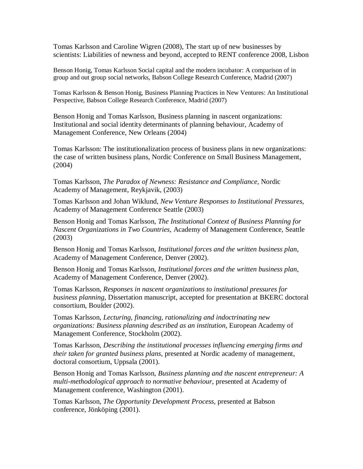Tomas Karlsson and Caroline Wigren (2008), The start up of new businesses by scientists: Liabilities of newness and beyond, accepted to RENT conference 2008, Lisbon

Benson Honig, Tomas Karlsson Social capital and the modern incubator: A comparison of in group and out group social networks, Babson College Research Conference, Madrid (2007)

Tomas Karlsson & Benson Honig, Business Planning Practices in New Ventures: An Institutional Perspective, Babson College Research Conference, Madrid (2007)

Benson Honig and Tomas Karlsson, Business planning in nascent organizations: Institutional and social identity determinants of planning behaviour, Academy of Management Conference, New Orleans (2004)

Tomas Karlsson: The institutionalization process of business plans in new organizations: the case of written business plans, Nordic Conference on Small Business Management, (2004)

Tomas Karlsson, *The Paradox of Newness: Resistance and Compliance*, Nordic Academy of Management, Reykjavik, (2003)

Tomas Karlsson and Johan Wiklund, *New Venture Responses to Institutional Pressures*, Academy of Management Conference Seattle (2003)

Benson Honig and Tomas Karlsson, *The Institutional Context of Business Planning for Nascent Organizations in Two Countries,* Academy of Management Conference, Seattle (2003)

Benson Honig and Tomas Karlsson, *Institutional forces and the written business plan*, Academy of Management Conference, Denver (2002).

Benson Honig and Tomas Karlsson, *Institutional forces and the written business plan*, Academy of Management Conference, Denver (2002).

Tomas Karlsson, *Responses in nascent organizations to institutional pressures for business planning,* Dissertation manuscript, accepted for presentation at BKERC doctoral consortium, Boulder (2002).

Tomas Karlsson, *Lecturing, financing, rationalizing and indoctrinating new organizations: Business planning described as an institution*, European Academy of Management Conference, Stockholm (2002).

Tomas Karlsson, *Describing the institutional processes influencing emerging firms and their taken for granted business plans,* presented at Nordic academy of management, doctoral consortium, Uppsala (2001).

Benson Honig and Tomas Karlsson, *Business planning and the nascent entrepreneur: A multi-methodological approach to normative behaviour*, presented at Academy of Management conference, Washington (2001).

Tomas Karlsson, *The Opportunity Development Process*, presented at Babson conference, Jönköping (2001).